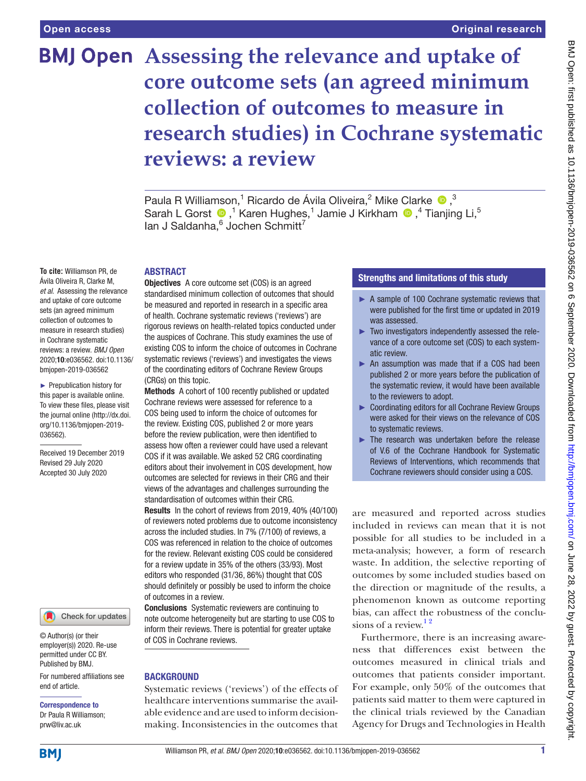# **BMJ Open** Assessing the relevance and uptake of **core outcome sets (an agreed minimum collection of outcomes to measure in research studies) in Cochrane systematic reviews: a review**

PaulaR Williamson,<sup>1</sup> Ricardo de Ávila Oliveira,<sup>2</sup> Mike Clarke <sup>1</sup>,<sup>3</sup> SarahL Gorst  $\bigcirc$ ,<sup>1</sup> Karen Hughes,<sup>1</sup> Jamie J Kirkham  $\bigcirc$ ,<sup>4</sup> Tianjing Li,<sup>5</sup> lan J Saldanha,<sup>6</sup> Jochen Schmitt<sup>7</sup>

#### ABSTRACT

**To cite:** Williamson PR, de Ávila Oliveira R, Clarke M, *et al*. Assessing the relevance and uptake of core outcome sets (an agreed minimum collection of outcomes to measure in research studies) in Cochrane systematic reviews: a review. *BMJ Open* 2020;10:e036562. doi:10.1136/ bmjopen-2019-036562

► Prepublication history for this paper is available online. To view these files, please visit the journal online (http://dx.doi. org/10.1136/bmjopen-2019- 036562).

Received 19 December 2019 Revised 29 July 2020 Accepted 30 July 2020



© Author(s) (or their employer(s)) 2020. Re-use permitted under CC BY. Published by BMJ.

For numbered affiliations see end of article.

Correspondence to Dr Paula R Williamson; prw@liv.ac.uk

Objectives A core outcome set (COS) is an agreed standardised minimum collection of outcomes that should be measured and reported in research in a specific area of health. Cochrane systematic reviews ('reviews') are rigorous reviews on health-related topics conducted under the auspices of Cochrane. This study examines the use of existing COS to inform the choice of outcomes in Cochrane systematic reviews ('reviews') and investigates the views of the coordinating editors of Cochrane Review Groups (CRGs) on this topic.

Methods A cohort of 100 recently published or updated Cochrane reviews were assessed for reference to a COS being used to inform the choice of outcomes for the review. Existing COS, published 2 or more years before the review publication, were then identified to assess how often a reviewer could have used a relevant COS if it was available. We asked 52 CRG coordinating editors about their involvement in COS development, how outcomes are selected for reviews in their CRG and their views of the advantages and challenges surrounding the standardisation of outcomes within their CRG. Results In the cohort of reviews from 2019, 40% (40/100) of reviewers noted problems due to outcome inconsistency

across the included studies. In 7% (7/100) of reviews, a COS was referenced in relation to the choice of outcomes for the review. Relevant existing COS could be considered for a review update in 35% of the others (33/93). Most editors who responded (31/36, 86%) thought that COS should definitely or possibly be used to inform the choice of outcomes in a review.

Conclusions Systematic reviewers are continuing to note outcome heterogeneity but are starting to use COS to inform their reviews. There is potential for greater uptake of COS in Cochrane reviews.

# **BACKGROUND**

Systematic reviews ('reviews') of the effects of healthcare interventions summarise the available evidence and are used to inform decisionmaking. Inconsistencies in the outcomes that

# Strengths and limitations of this study

- ► A sample of 100 Cochrane systematic reviews that were published for the first time or updated in 2019 was assessed.
- ► Two investigators independently assessed the relevance of a core outcome set (COS) to each systematic review.
- ► An assumption was made that if a COS had been published 2 or more years before the publication of the systematic review, it would have been available to the reviewers to adopt.
- ► Coordinating editors for all Cochrane Review Groups were asked for their views on the relevance of COS to systematic reviews.
- ► The research was undertaken before the release of V.6 of the Cochrane Handbook for Systematic Reviews of Interventions, which recommends that Cochrane reviewers should consider using a COS.

are measured and reported across studies included in reviews can mean that it is not possible for all studies to be included in a meta-analysis; however, a form of research waste. In addition, the selective reporting of outcomes by some included studies based on the direction or magnitude of the results, a phenomenon known as outcome reporting bias, can affect the robustness of the conclusions of a review. $12$ 

Furthermore, there is an increasing awareness that differences exist between the outcomes measured in clinical trials and outcomes that patients consider important. For example, only 50% of the outcomes that patients said matter to them were captured in the clinical trials reviewed by the Canadian Agency for Drugs and Technologies in Health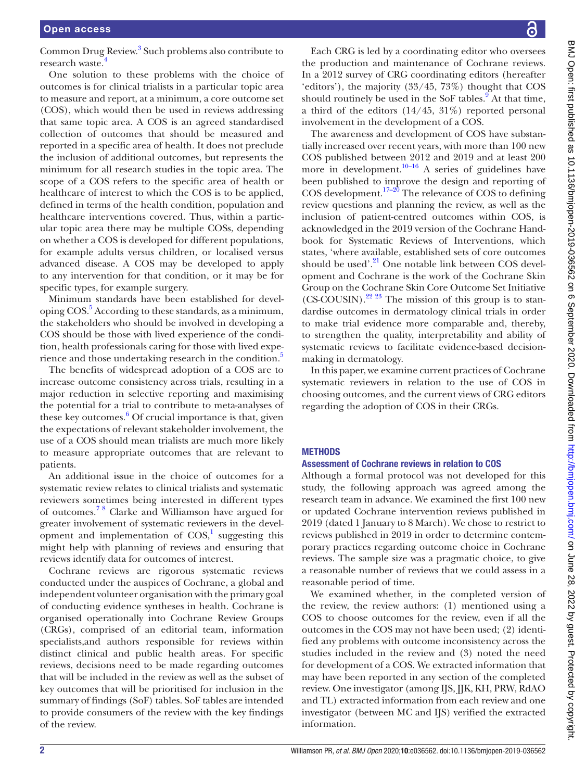Common Drug Review.<sup>[3](#page-6-1)</sup> Such problems also contribute to research waste.<sup>[4](#page-6-2)</sup>

One solution to these problems with the choice of outcomes is for clinical trialists in a particular topic area to measure and report, at a minimum, a core outcome set (COS), which would then be used in reviews addressing that same topic area. A COS is an agreed standardised collection of outcomes that should be measured and reported in a specific area of health. It does not preclude the inclusion of additional outcomes, but represents the minimum for all research studies in the topic area. The scope of a COS refers to the specific area of health or healthcare of interest to which the COS is to be applied, defined in terms of the health condition, population and healthcare interventions covered. Thus, within a particular topic area there may be multiple COSs, depending on whether a COS is developed for different populations, for example adults versus children, or localised versus advanced disease. A COS may be developed to apply to any intervention for that condition, or it may be for specific types, for example surgery.

Minimum standards have been established for devel-oping COS.<sup>[5](#page-6-3)</sup> According to these standards, as a minimum, the stakeholders who should be involved in developing a COS should be those with lived experience of the condition, health professionals caring for those with lived expe-rience and those undertaking research in the condition.<sup>[5](#page-6-3)</sup>

The benefits of widespread adoption of a COS are to increase outcome consistency across trials, resulting in a major reduction in selective reporting and maximising the potential for a trial to contribute to meta-analyses of these key outcomes.<sup>[6](#page-6-4)</sup> Of crucial importance is that, given the expectations of relevant stakeholder involvement, the use of a COS should mean trialists are much more likely to measure appropriate outcomes that are relevant to patients.

An additional issue in the choice of outcomes for a systematic review relates to clinical trialists and systematic reviewers sometimes being interested in different types of outcomes.[7 8](#page-6-5) Clarke and Williamson have argued for greater involvement of systematic reviewers in the development and implementation of  $COS<sup>1</sup>$  $COS<sup>1</sup>$  $COS<sup>1</sup>$ , suggesting this might help with planning of reviews and ensuring that reviews identify data for outcomes of interest.

Cochrane reviews are rigorous systematic reviews conducted under the auspices of Cochrane, a global and independent volunteer organisation with the primary goal of conducting evidence syntheses in health. Cochrane is organised operationally into Cochrane Review Groups (CRGs), comprised of an editorial team, information specialists,and authors responsible for reviews within distinct clinical and public health areas. For specific reviews, decisions need to be made regarding outcomes that will be included in the review as well as the subset of key outcomes that will be prioritised for inclusion in the summary of findings (SoF) tables. SoF tables are intended to provide consumers of the review with the key findings of the review.

BMJ Open: first published as 10.1136/bmjopen-2019-036562 on 6 September 2020. Downloaded from http://bmjopen.bmj.com/ on June 28, 2022 by guest. Protected by copyright BMJ Open: first published as 10.1136/bmjopen-2019-030-2002 be September 2020. Downloaded from <http://bmjopen.bmj.com/> on June 28, 2022 by guest. Protected by copyright.

Each CRG is led by a coordinating editor who oversees the production and maintenance of Cochrane reviews. In a 2012 survey of CRG coordinating editors (hereafter 'editors'), the majority (33/45, 73%) thought that COS should routinely be used in the SoF tables. $9^{\degree}$  $9^{\degree}$ At that time, a third of the editors  $(14/45, 31\%)$  reported personal involvement in the development of a COS.

The awareness and development of COS have substantially increased over recent years, with more than 100 new COS published between 2012 and 2019 and at least 200 more in development.<sup>10–16</sup> A series of guidelines have been published to improve the design and reporting of  $COS development.$ <sup>[17–20](#page-6-8)</sup> The relevance of COS to defining review questions and planning the review, as well as the inclusion of patient-centred outcomes within COS, is acknowledged in the 2019 version of the Cochrane Handbook for Systematic Reviews of Interventions, which states, 'where available, established sets of core outcomes should be used'.<sup>21</sup> One notable link between COS development and Cochrane is the work of the Cochrane Skin Group on the Cochrane Skin Core Outcome Set Initiative  $(CS-COUSIN).<sup>22 23</sup>$  $(CS-COUSIN).<sup>22 23</sup>$  $(CS-COUSIN).<sup>22 23</sup>$  The mission of this group is to standardise outcomes in dermatology clinical trials in order to make trial evidence more comparable and, thereby, to strengthen the quality, interpretability and ability of systematic reviews to facilitate evidence-based decisionmaking in dermatology.

In this paper, we examine current practices of Cochrane systematic reviewers in relation to the use of COS in choosing outcomes, and the current views of CRG editors regarding the adoption of COS in their CRGs.

# **METHODS**

#### Assessment of Cochrane reviews in relation to COS

Although a formal protocol was not developed for this study, the following approach was agreed among the research team in advance. We examined the first 100 new or updated Cochrane intervention reviews published in 2019 (dated 1 January to 8 March). We chose to restrict to reviews published in 2019 in order to determine contemporary practices regarding outcome choice in Cochrane reviews. The sample size was a pragmatic choice, to give a reasonable number of reviews that we could assess in a reasonable period of time.

We examined whether, in the completed version of the review, the review authors: (1) mentioned using a COS to choose outcomes for the review, even if all the outcomes in the COS may not have been used; (2) identified any problems with outcome inconsistency across the studies included in the review and (3) noted the need for development of a COS. We extracted information that may have been reported in any section of the completed review. One investigator (among IJS, JJK, KH, PRW, RdAO and TL) extracted information from each review and one investigator (between MC and IJS) verified the extracted information.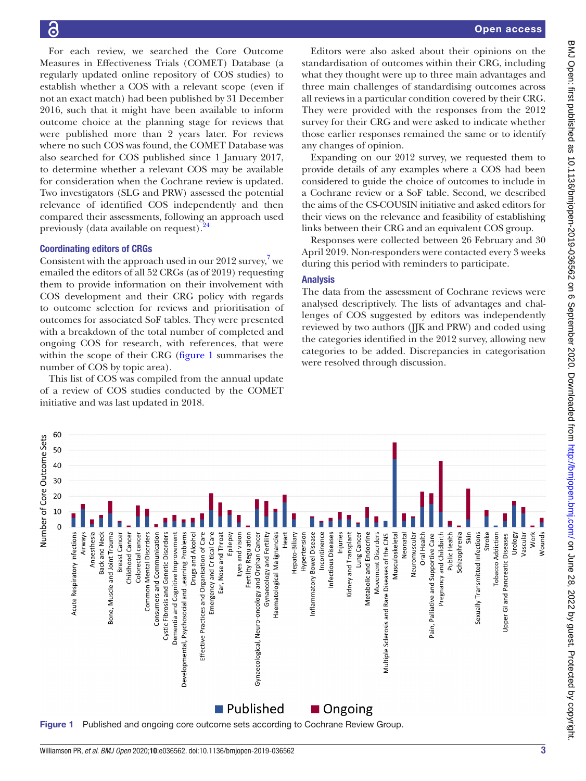For each review, we searched the Core Outcome Measures in Effectiveness Trials (COMET) Database (a regularly updated online repository of COS studies) to establish whether a COS with a relevant scope (even if not an exact match) had been published by 31 December 2016, such that it might have been available to inform outcome choice at the planning stage for reviews that were published more than 2 years later. For reviews where no such COS was found, the COMET Database was also searched for COS published since 1 January 2017, to determine whether a relevant COS may be available for consideration when the Cochrane review is updated. Two investigators (SLG and PRW) assessed the potential relevance of identified COS independently and then compared their assessments, following an approach used previously (data available on request).<sup>2</sup>

## Coordinating editors of CRGs

Consistent with the approach used in our 2012 survey, $7$  we emailed the editors of all 52 CRGs (as of 2019) requesting them to provide information on their involvement with COS development and their CRG policy with regards to outcome selection for reviews and prioritisation of outcomes for associated SoF tables. They were presented with a breakdown of the total number of completed and ongoing COS for research, with references, that were within the scope of their CRG [\(figure](#page-2-0) 1 summarises the number of COS by topic area).

This list of COS was compiled from the annual update of a review of COS studies conducted by the COMET initiative and was last updated in 2018.

Editors were also asked about their opinions on the standardisation of outcomes within their CRG, including what they thought were up to three main advantages and three main challenges of standardising outcomes across all reviews in a particular condition covered by their CRG. They were provided with the responses from the 2012 survey for their CRG and were asked to indicate whether those earlier responses remained the same or to identify any changes of opinion.

Expanding on our 2012 survey, we requested them to provide details of any examples where a COS had been considered to guide the choice of outcomes to include in a Cochrane review or a SoF table. Second, we described the aims of the CS-COUSIN initiative and asked editors for their views on the relevance and feasibility of establishing links between their CRG and an equivalent COS group.

Responses were collected between 26 February and 30 April 2019. Non-responders were contacted every 3 weeks during this period with reminders to participate.

#### Analysis

The data from the assessment of Cochrane reviews were analysed descriptively. The lists of advantages and challenges of COS suggested by editors was independently reviewed by two authors (JJK and PRW) and coded using the categories identified in the 2012 survey, allowing new categories to be added. Discrepancies in categorisation were resolved through discussion.

<span id="page-2-0"></span>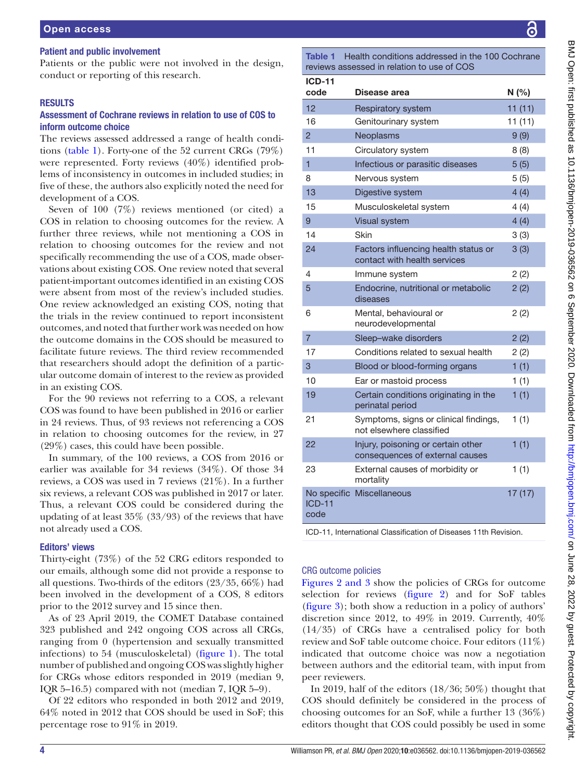## Patient and public involvement

Patients or the public were not involved in the design, conduct or reporting of this research.

## RESULTS

# Assessment of Cochrane reviews in relation to use of COS to inform outcome choice

The reviews assessed addressed a range of health conditions [\(table](#page-3-0) 1). Forty-one of the 52 current CRGs (79%) were represented. Forty reviews (40%) identified problems of inconsistency in outcomes in included studies; in five of these, the authors also explicitly noted the need for development of a COS.

Seven of 100 (7%) reviews mentioned (or cited) a COS in relation to choosing outcomes for the review. A further three reviews, while not mentioning a COS in relation to choosing outcomes for the review and not specifically recommending the use of a COS, made observations about existing COS. One review noted that several patient-important outcomes identified in an existing COS were absent from most of the review's included studies. One review acknowledged an existing COS, noting that the trials in the review continued to report inconsistent outcomes, and noted that further work was needed on how the outcome domains in the COS should be measured to facilitate future reviews. The third review recommended that researchers should adopt the definition of a particular outcome domain of interest to the review as provided in an existing COS.

For the 90 reviews not referring to a COS, a relevant COS was found to have been published in 2016 or earlier in 24 reviews. Thus, of 93 reviews not referencing a COS in relation to choosing outcomes for the review, in 27 (29%) cases, this could have been possible.

In summary, of the 100 reviews, a COS from 2016 or earlier was available for 34 reviews (34%). Of those 34 reviews, a COS was used in 7 reviews (21%). In a further six reviews, a relevant COS was published in 2017 or later. Thus, a relevant COS could be considered during the updating of at least 35% (33/93) of the reviews that have not already used a COS.

# Editors' views

Thirty-eight (73%) of the 52 CRG editors responded to our emails, although some did not provide a response to all questions. Two-thirds of the editors (23/35, 66%) had been involved in the development of a COS, 8 editors prior to the 2012 survey and 15 since then.

As of 23 April 2019, the COMET Database contained 323 published and 242 ongoing COS across all CRGs, ranging from 0 (hypertension and sexually transmitted infections) to 54 (musculoskeletal) ([figure](#page-2-0) 1). The total number of published and ongoing COS was slightly higher for CRGs whose editors responded in 2019 (median 9, IQR 5–16.5) compared with not (median 7, IQR 5–9).

Of 22 editors who responded in both 2012 and 2019, 64% noted in 2012 that COS should be used in SoF; this percentage rose to 91% in 2019.

<span id="page-3-0"></span>Table 1 Health conditions addressed in the 100 Cochrane reviews assessed in relation to use of COS

| <b>ICD-11</b><br>code | Disease area                                                          | N (%)   |
|-----------------------|-----------------------------------------------------------------------|---------|
| 12                    | Respiratory system                                                    | 11(11)  |
| 16                    | Genitourinary system                                                  | 11 (11) |
| $\overline{2}$        | Neoplasms                                                             | 9(9)    |
| 11                    | Circulatory system                                                    | 8(8)    |
| 1                     | Infectious or parasitic diseases                                      | 5(5)    |
| 8                     | Nervous system                                                        | 5(5)    |
| 13                    | Digestive system                                                      | 4(4)    |
| 15                    | Musculoskeletal system                                                | 4(4)    |
| 9                     | <b>Visual system</b>                                                  | 4(4)    |
| 14                    | Skin                                                                  | 3(3)    |
| 24                    | Factors influencing health status or<br>contact with health services  | 3(3)    |
| 4                     | Immune system                                                         | 2(2)    |
| 5                     | Endocrine, nutritional or metabolic<br>diseases                       | 2(2)    |
| 6                     | Mental, behavioural or<br>neurodevelopmental                          | 2(2)    |
| $\overline{7}$        | Sleep-wake disorders                                                  | 2(2)    |
| 17                    | Conditions related to sexual health                                   | 2(2)    |
| 3                     | Blood or blood-forming organs                                         | 1(1)    |
| 10                    | Ear or mastoid process                                                | 1(1)    |
| 19                    | Certain conditions originating in the<br>perinatal period             | 1(1)    |
| 21                    | Symptoms, signs or clinical findings,<br>not elsewhere classified     | 1(1)    |
| 22                    | Injury, poisoning or certain other<br>consequences of external causes | 1(1)    |
| 23                    | External causes of morbidity or<br>mortality                          | 1(1)    |
| <b>ICD-11</b><br>code | No specific Miscellaneous                                             | 17(17)  |

ICD-11, International Classification of Diseases 11th Revision.

# CRG outcome policies

Figures [2 and 3](#page-4-0) show the policies of CRGs for outcome selection for reviews [\(figure](#page-4-0) 2) and for SoF tables [\(figure](#page-4-1) 3); both show a reduction in a policy of authors' discretion since 2012, to 49% in 2019. Currently, 40% (14/35) of CRGs have a centralised policy for both review and SoF table outcome choice. Four editors (11%) indicated that outcome choice was now a negotiation between authors and the editorial team, with input from peer reviewers.

In 2019, half of the editors  $(18/36; 50\%)$  thought that COS should definitely be considered in the process of choosing outcomes for an SoF, while a further 13 (36%) editors thought that COS could possibly be used in some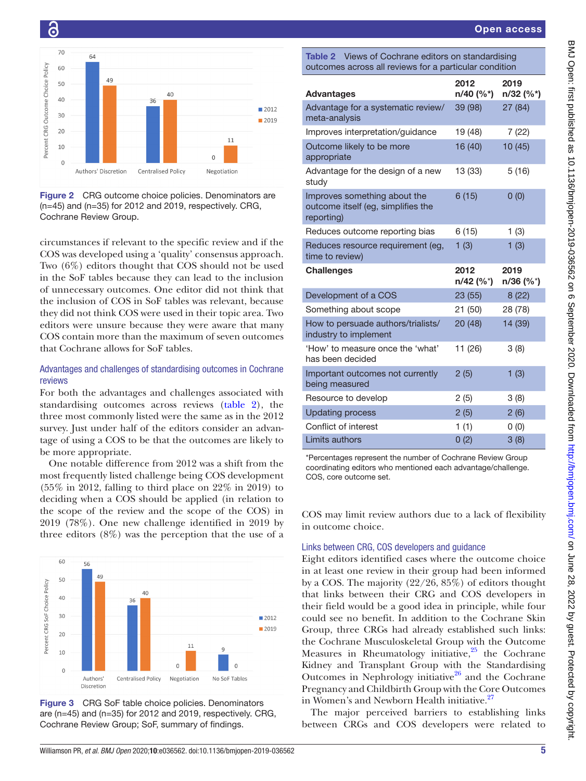



<span id="page-4-0"></span>Figure 2 CRG outcome choice policies. Denominators are (n=45) and (n=35) for 2012 and 2019, respectively. CRG, Cochrane Review Group.

circumstances if relevant to the specific review and if the COS was developed using a 'quality' consensus approach. Two (6%) editors thought that COS should not be used in the SoF tables because they can lead to the inclusion of unnecessary outcomes. One editor did not think that the inclusion of COS in SoF tables was relevant, because they did not think COS were used in their topic area. Two editors were unsure because they were aware that many COS contain more than the maximum of seven outcomes that Cochrane allows for SoF tables.

# Advantages and challenges of standardising outcomes in Cochrane reviews

For both the advantages and challenges associated with standardising outcomes across reviews ([table](#page-4-2) 2), the three most commonly listed were the same as in the 2012 survey. Just under half of the editors consider an advantage of using a COS to be that the outcomes are likely to be more appropriate.

One notable difference from 2012 was a shift from the most frequently listed challenge being COS development (55% in 2012, falling to third place on 22% in 2019) to deciding when a COS should be applied (in relation to the scope of the review and the scope of the COS) in 2019 (78%). One new challenge identified in 2019 by three editors (8%) was the perception that the use of a



<span id="page-4-1"></span>Figure 3 CRG SoF table choice policies. Denominators are (n=45) and (n=35) for 2012 and 2019, respectively. CRG, Cochrane Review Group; SoF, summary of findings.

<span id="page-4-2"></span>Table 2 Views of Cochrane editors on standardising outcomes across all reviews for a particular condition

| <b>Advantages</b>                                                                | 2012<br>n/40 (%*) | 2019<br>n/32 (%*)   |
|----------------------------------------------------------------------------------|-------------------|---------------------|
| Advantage for a systematic review/<br>meta-analysis                              | 39 (98)           | 27 (84)             |
| Improves interpretation/guidance                                                 | 19 (48)           | 7(22)               |
| Outcome likely to be more<br>appropriate                                         | 16 (40)           | 10(45)              |
| Advantage for the design of a new<br>study                                       | 13 (33)           | 5(16)               |
| Improves something about the<br>outcome itself (eg, simplifies the<br>reporting) | 6(15)             | 0(0)                |
| Reduces outcome reporting bias                                                   | 6(15)             | 1(3)                |
| Reduces resource requirement (eg,<br>time to review)                             | 1(3)              | 1(3)                |
| <b>Challenges</b>                                                                | 2012<br>n/42 (%*) | 2019<br>$n/36$ (%*) |
| Development of a COS                                                             | 23 (55)           | 8(22)               |
| Something about scope                                                            | 21 (50)           | 28 (78)             |
| How to persuade authors/trialists/<br>industry to implement                      | 20 (48)           | 14 (39)             |
| 'How' to measure once the 'what'<br>has been decided                             | 11 (26)           | 3(8)                |
| Important outcomes not currently<br>being measured                               | 2(5)              | 1(3)                |
| Resource to develop                                                              | 2(5)              | 3(8)                |
| <b>Updating process</b>                                                          | 2(5)              | 2(6)                |
| Conflict of interest                                                             | 1(1)              | 0(0)                |
| Limits authors                                                                   | 0(2)              | 3(8)                |

\*Percentages represent the number of Cochrane Review Group coordinating editors who mentioned each advantage/challenge. COS, core outcome set.

COS may limit review authors due to a lack of flexibility in outcome choice.

# Links between CRG, COS developers and guidance

Eight editors identified cases where the outcome choice in at least one review in their group had been informed by a COS. The majority (22/26, 85%) of editors thought that links between their CRG and COS developers in their field would be a good idea in principle, while four could see no benefit. In addition to the Cochrane Skin Group, three CRGs had already established such links: the Cochrane Musculoskeletal Group with the Outcome Measures in Rheumatology initiative, $25$  the Cochrane Kidney and Transplant Group with the Standardising Outcomes in Nephrology initiative $26$  and the Cochrane Pregnancy and Childbirth Group with the Core Outcomes in Women's and Newborn Health initiative.<sup>27</sup>

The major perceived barriers to establishing links between CRGs and COS developers were related to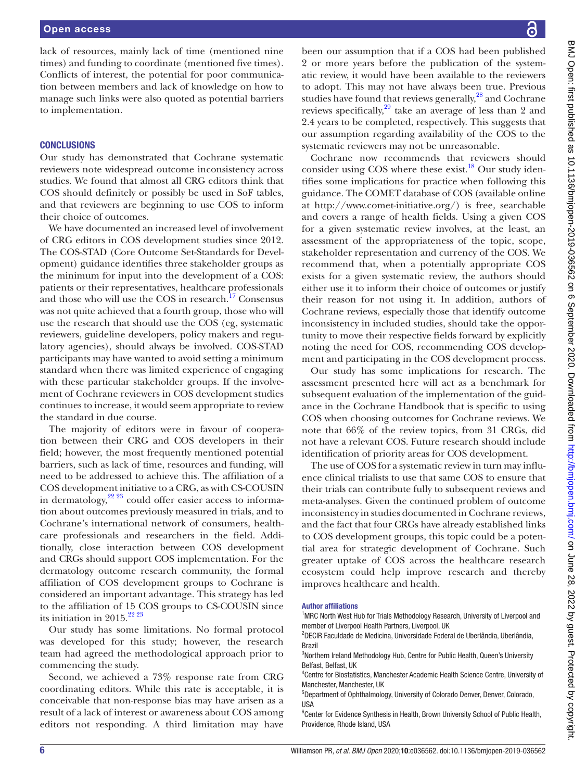lack of resources, mainly lack of time (mentioned nine times) and funding to coordinate (mentioned five times). Conflicts of interest, the potential for poor communication between members and lack of knowledge on how to manage such links were also quoted as potential barriers to implementation.

#### **CONCLUSIONS**

Our study has demonstrated that Cochrane systematic reviewers note widespread outcome inconsistency across studies. We found that almost all CRG editors think that COS should definitely or possibly be used in SoF tables, and that reviewers are beginning to use COS to inform their choice of outcomes.

We have documented an increased level of involvement of CRG editors in COS development studies since 2012. The COS-STAD (Core Outcome Set-Standards for Development) guidance identifies three stakeholder groups as the minimum for input into the development of a COS: patients or their representatives, healthcare professionals and those who will use the COS in research.<sup>17</sup> Consensus was not quite achieved that a fourth group, those who will use the research that should use the COS (eg, systematic reviewers, guideline developers, policy makers and regulatory agencies), should always be involved. COS-STAD participants may have wanted to avoid setting a minimum standard when there was limited experience of engaging with these particular stakeholder groups. If the involvement of Cochrane reviewers in COS development studies continues to increase, it would seem appropriate to review the standard in due course.

The majority of editors were in favour of cooperation between their CRG and COS developers in their field; however, the most frequently mentioned potential barriers, such as lack of time, resources and funding, will need to be addressed to achieve this. The affiliation of a COS development initiative to a CRG, as with CS-COUSIN in dermatology,<sup>[22 23](#page-6-10)</sup> could offer easier access to information about outcomes previously measured in trials, and to Cochrane's international network of consumers, healthcare professionals and researchers in the field. Additionally, close interaction between COS development and CRGs should support COS implementation. For the dermatology outcome research community, the formal affiliation of COS development groups to Cochrane is considered an important advantage. This strategy has led to the affiliation of 15 COS groups to CS-COUSIN since its initiation in 2015. $22^{223}$ 

Our study has some limitations. No formal protocol was developed for this study; however, the research team had agreed the methodological approach prior to commencing the study.

Second, we achieved a 73% response rate from CRG coordinating editors. While this rate is acceptable, it is conceivable that non-response bias may have arisen as a result of a lack of interest or awareness about COS among editors not responding. A third limitation may have

been our assumption that if a COS had been published 2 or more years before the publication of the systematic review, it would have been available to the reviewers to adopt. This may not have always been true. Previous studies have found that reviews generally, $^{28}$  and Cochrane reviews specifically,<sup>29</sup> take an average of less than 2 and 2.4 years to be completed, respectively. This suggests that our assumption regarding availability of the COS to the systematic reviewers may not be unreasonable.

Cochrane now recommends that reviewers should consider using COS where these exist.<sup>18</sup> Our study identifies some implications for practice when following this guidance. The COMET database of COS (available online at <http://www.comet-initiative.org/>) is free, searchable and covers a range of health fields. Using a given COS for a given systematic review involves, at the least, an assessment of the appropriateness of the topic, scope, stakeholder representation and currency of the COS. We recommend that, when a potentially appropriate COS exists for a given systematic review, the authors should either use it to inform their choice of outcomes or justify their reason for not using it. In addition, authors of Cochrane reviews, especially those that identify outcome inconsistency in included studies, should take the opportunity to move their respective fields forward by explicitly noting the need for COS, recommending COS development and participating in the COS development process.

Our study has some implications for research. The assessment presented here will act as a benchmark for subsequent evaluation of the implementation of the guidance in the Cochrane Handbook that is specific to using COS when choosing outcomes for Cochrane reviews. We note that 66% of the review topics, from 31 CRGs, did not have a relevant COS. Future research should include identification of priority areas for COS development.

The use of COS for a systematic review in turn may influence clinical trialists to use that same COS to ensure that their trials can contribute fully to subsequent reviews and meta-analyses. Given the continued problem of outcome inconsistency in studies documented in Cochrane reviews, and the fact that four CRGs have already established links to COS development groups, this topic could be a potential area for strategic development of Cochrane. Such greater uptake of COS across the healthcare research ecosystem could help improve research and thereby improves healthcare and health.

#### Author affiliations

<sup>1</sup>MRC North West Hub for Trials Methodology Research, University of Liverpool and member of Liverpool Health Partners, Liverpool, UK

2 DECIR Faculdade de Medicina, Universidade Federal de Uberlândia, Uberlândia, Brazil

<sup>3</sup>Northern Ireland Methodology Hub, Centre for Public Health, Queen's University Belfast, Belfast, UK

4 Centre for Biostatistics, Manchester Academic Health Science Centre, University of Manchester, Manchester, UK

5 Department of Ophthalmology, University of Colorado Denver, Denver, Colorado, USA

<sup>6</sup> Center for Evidence Synthesis in Health, Brown University School of Public Health, Providence, Rhode Island, USA